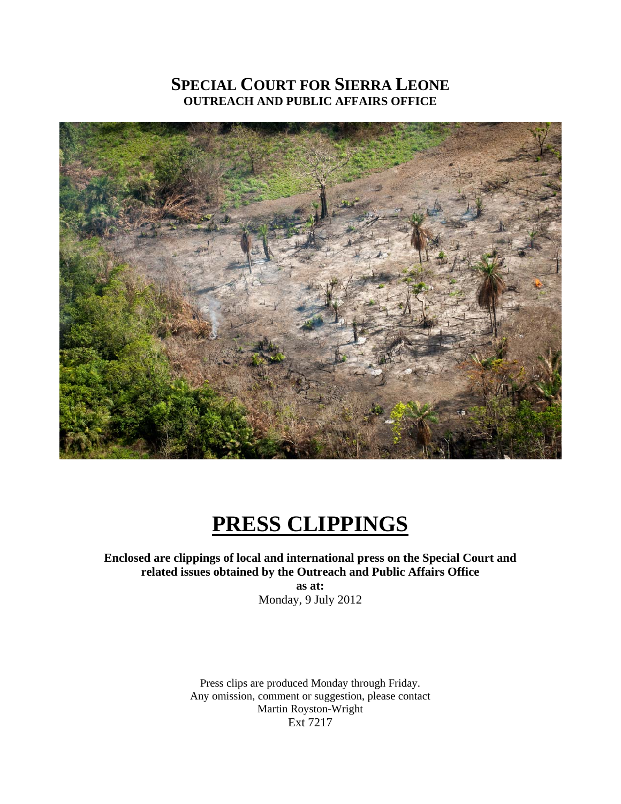## **SPECIAL COURT FOR SIERRA LEONE OUTREACH AND PUBLIC AFFAIRS OFFICE**



# **PRESS CLIPPINGS**

#### **Enclosed are clippings of local and international press on the Special Court and related issues obtained by the Outreach and Public Affairs Office**

**as at:**  Monday, 9 July 2012

Press clips are produced Monday through Friday. Any omission, comment or suggestion, please contact Martin Royston-Wright Ext 7217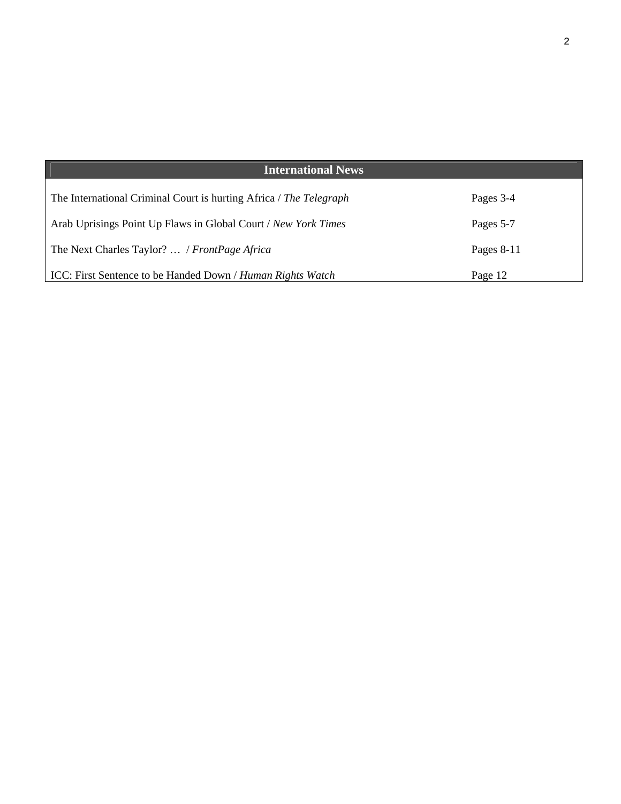| <b>International News</b>                                          |            |
|--------------------------------------------------------------------|------------|
| The International Criminal Court is hurting Africa / The Telegraph | Pages 3-4  |
| Arab Uprisings Point Up Flaws in Global Court / New York Times     | Pages 5-7  |
| The Next Charles Taylor?  / FrontPage Africa                       | Pages 8-11 |
| ICC: First Sentence to be Handed Down / Human Rights Watch         | Page 12    |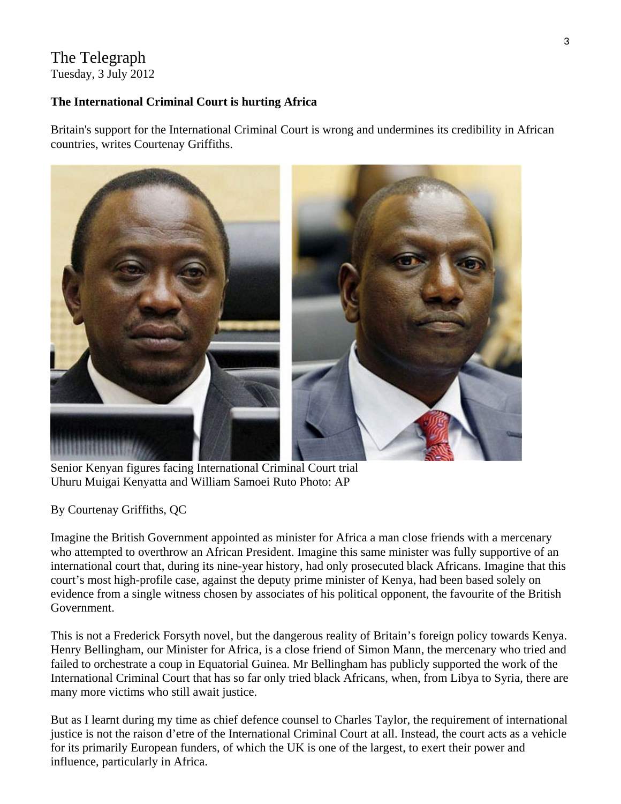#### The Telegraph Tuesday, 3 July 2012

#### **The International Criminal Court is hurting Africa**

Britain's support for the International Criminal Court is wrong and undermines its credibility in African countries, writes Courtenay Griffiths.



Senior Kenyan figures facing International Criminal Court trial Uhuru Muigai Kenyatta and William Samoei Ruto Photo: AP

By Courtenay Griffiths, QC

Imagine the British Government appointed as minister for Africa a man close friends with a mercenary who attempted to overthrow an African President. Imagine this same minister was fully supportive of an international court that, during its nine-year history, had only prosecuted black Africans. Imagine that this court's most high-profile case, against the deputy prime minister of Kenya, had been based solely on evidence from a single witness chosen by associates of his political opponent, the favourite of the British Government.

This is not a Frederick Forsyth novel, but the dangerous reality of Britain's foreign policy towards Kenya. Henry Bellingham, our Minister for Africa, is a close friend of Simon Mann, the mercenary who tried and failed to orchestrate a coup in Equatorial Guinea. Mr Bellingham has publicly supported the work of the International Criminal Court that has so far only tried black Africans, when, from Libya to Syria, there are many more victims who still await justice.

But as I learnt during my time as chief defence counsel to Charles Taylor, the requirement of international justice is not the raison d'etre of the International Criminal Court at all. Instead, the court acts as a vehicle for its primarily European funders, of which the UK is one of the largest, to exert their power and influence, particularly in Africa.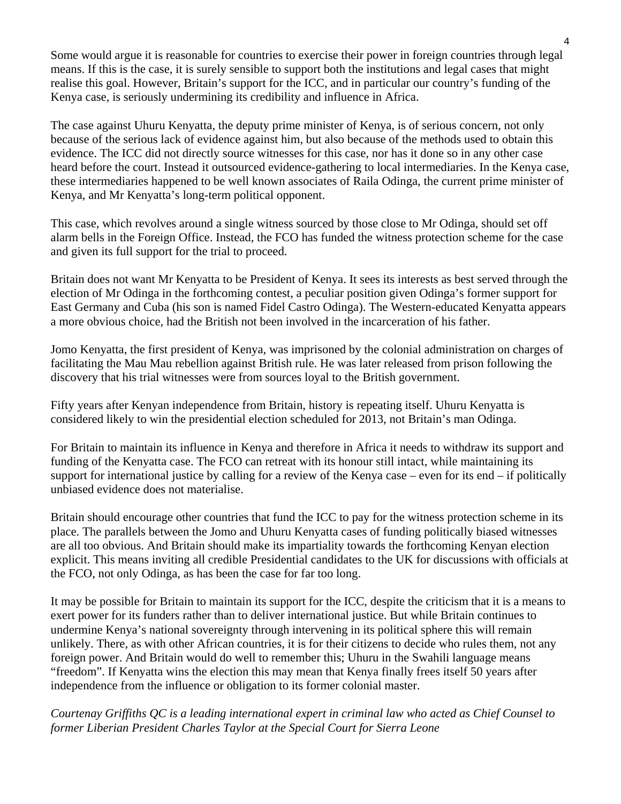Some would argue it is reasonable for countries to exercise their power in foreign countries through legal means. If this is the case, it is surely sensible to support both the institutions and legal cases that might realise this goal. However, Britain's support for the ICC, and in particular our country's funding of the Kenya case, is seriously undermining its credibility and influence in Africa.

The case against Uhuru Kenyatta, the deputy prime minister of Kenya, is of serious concern, not only because of the serious lack of evidence against him, but also because of the methods used to obtain this evidence. The ICC did not directly source witnesses for this case, nor has it done so in any other case heard before the court. Instead it outsourced evidence-gathering to local intermediaries. In the Kenya case, these intermediaries happened to be well known associates of Raila Odinga, the current prime minister of Kenya, and Mr Kenyatta's long-term political opponent.

This case, which revolves around a single witness sourced by those close to Mr Odinga, should set off alarm bells in the Foreign Office. Instead, the FCO has funded the witness protection scheme for the case and given its full support for the trial to proceed.

Britain does not want Mr Kenyatta to be President of Kenya. It sees its interests as best served through the election of Mr Odinga in the forthcoming contest, a peculiar position given Odinga's former support for East Germany and Cuba (his son is named Fidel Castro Odinga). The Western-educated Kenyatta appears a more obvious choice, had the British not been involved in the incarceration of his father.

Jomo Kenyatta, the first president of Kenya, was imprisoned by the colonial administration on charges of facilitating the Mau Mau rebellion against British rule. He was later released from prison following the discovery that his trial witnesses were from sources loyal to the British government.

Fifty years after Kenyan independence from Britain, history is repeating itself. Uhuru Kenyatta is considered likely to win the presidential election scheduled for 2013, not Britain's man Odinga.

For Britain to maintain its influence in Kenya and therefore in Africa it needs to withdraw its support and funding of the Kenyatta case. The FCO can retreat with its honour still intact, while maintaining its support for international justice by calling for a review of the Kenya case – even for its end – if politically unbiased evidence does not materialise.

Britain should encourage other countries that fund the ICC to pay for the witness protection scheme in its place. The parallels between the Jomo and Uhuru Kenyatta cases of funding politically biased witnesses are all too obvious. And Britain should make its impartiality towards the forthcoming Kenyan election explicit. This means inviting all credible Presidential candidates to the UK for discussions with officials at the FCO, not only Odinga, as has been the case for far too long.

It may be possible for Britain to maintain its support for the ICC, despite the criticism that it is a means to exert power for its funders rather than to deliver international justice. But while Britain continues to undermine Kenya's national sovereignty through intervening in its political sphere this will remain unlikely. There, as with other African countries, it is for their citizens to decide who rules them, not any foreign power. And Britain would do well to remember this; Uhuru in the Swahili language means "freedom". If Kenyatta wins the election this may mean that Kenya finally frees itself 50 years after independence from the influence or obligation to its former colonial master.

*Courtenay Griffiths QC is a leading international expert in criminal law who acted as Chief Counsel to former Liberian President Charles Taylor at the Special Court for Sierra Leone*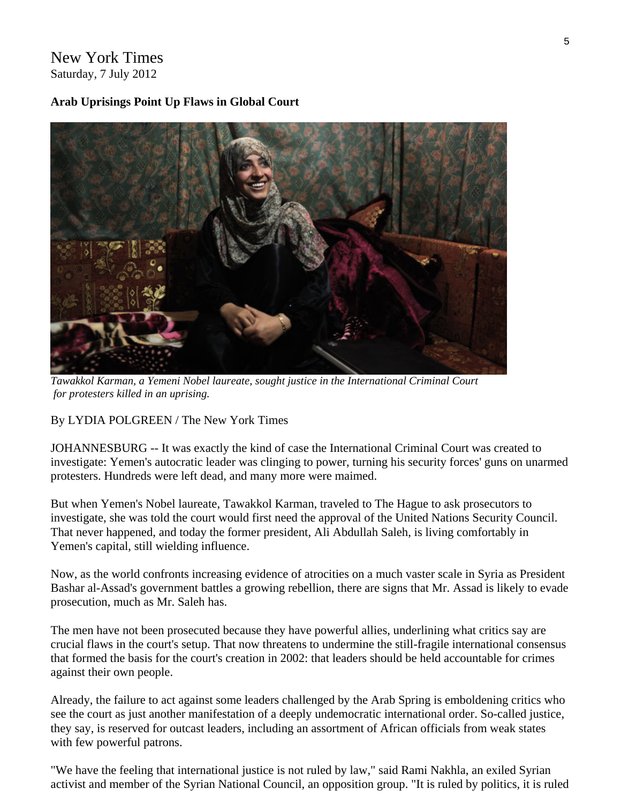#### New York Times Saturday, 7 July 2012

#### **Arab Uprisings Point Up Flaws in Global Court**



*Tawakkol Karman, a Yemeni Nobel laureate, sought justice in the International Criminal Court for protesters killed in an uprising.* 

By LYDIA POLGREEN / The New York Times

JOHANNESBURG -- It was exactly the kind of case the International Criminal Court was created to investigate: Yemen's autocratic leader was clinging to power, turning his security forces' guns on unarmed protesters. Hundreds were left dead, and many more were maimed.

But when Yemen's Nobel laureate, Tawakkol Karman, traveled to The Hague to ask prosecutors to investigate, she was told the court would first need the approval of the United Nations Security Council. That never happened, and today the former president, Ali Abdullah Saleh, is living comfortably in Yemen's capital, still wielding influence.

Now, as the world confronts increasing evidence of atrocities on a much vaster scale in Syria as President Bashar al-Assad's government battles a growing rebellion, there are signs that Mr. Assad is likely to evade prosecution, much as Mr. Saleh has.

The men have not been prosecuted because they have powerful allies, underlining what critics say are crucial flaws in the court's setup. That now threatens to undermine the still-fragile international consensus that formed the basis for the court's creation in 2002: that leaders should be held accountable for crimes against their own people.

Already, the failure to act against some leaders challenged by the Arab Spring is emboldening critics who see the court as just another manifestation of a deeply undemocratic international order. So-called justice, they say, is reserved for outcast leaders, including an assortment of African officials from weak states with few powerful patrons.

"We have the feeling that international justice is not ruled by law," said Rami Nakhla, an exiled Syrian activist and member of the Syrian National Council, an opposition group. "It is ruled by politics, it is ruled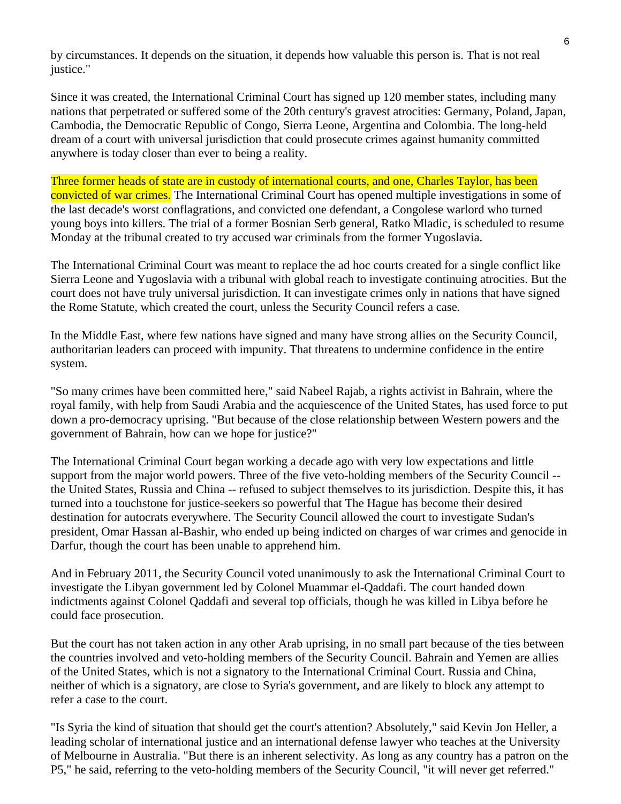by circumstances. It depends on the situation, it depends how valuable this person is. That is not real justice."

Since it was created, the International Criminal Court has signed up 120 member states, including many nations that perpetrated or suffered some of the 20th century's gravest atrocities: Germany, Poland, Japan, Cambodia, the Democratic Republic of Congo, Sierra Leone, Argentina and Colombia. The long-held dream of a court with universal jurisdiction that could prosecute crimes against humanity committed anywhere is today closer than ever to being a reality.

Three former heads of state are in custody of international courts, and one, Charles Taylor, has been convicted of war crimes. The International Criminal Court has opened multiple investigations in some of the last decade's worst conflagrations, and convicted one defendant, a Congolese warlord who turned young boys into killers. The trial of a former Bosnian Serb general, Ratko Mladic, is scheduled to resume Monday at the tribunal created to try accused war criminals from the former Yugoslavia.

The International Criminal Court was meant to replace the ad hoc courts created for a single conflict like Sierra Leone and Yugoslavia with a tribunal with global reach to investigate continuing atrocities. But the court does not have truly universal jurisdiction. It can investigate crimes only in nations that have signed the Rome Statute, which created the court, unless the Security Council refers a case.

In the Middle East, where few nations have signed and many have strong allies on the Security Council, authoritarian leaders can proceed with impunity. That threatens to undermine confidence in the entire system.

"So many crimes have been committed here," said Nabeel Rajab, a rights activist in Bahrain, where the royal family, with help from Saudi Arabia and the acquiescence of the United States, has used force to put down a pro-democracy uprising. "But because of the close relationship between Western powers and the government of Bahrain, how can we hope for justice?"

The International Criminal Court began working a decade ago with very low expectations and little support from the major world powers. Three of the five veto-holding members of the Security Council - the United States, Russia and China -- refused to subject themselves to its jurisdiction. Despite this, it has turned into a touchstone for justice-seekers so powerful that The Hague has become their desired destination for autocrats everywhere. The Security Council allowed the court to investigate Sudan's president, Omar Hassan al-Bashir, who ended up being indicted on charges of war crimes and genocide in Darfur, though the court has been unable to apprehend him.

And in February 2011, the Security Council voted unanimously to ask the International Criminal Court to investigate the Libyan government led by Colonel Muammar el-Qaddafi. The court handed down indictments against Colonel Qaddafi and several top officials, though he was killed in Libya before he could face prosecution.

But the court has not taken action in any other Arab uprising, in no small part because of the ties between the countries involved and veto-holding members of the Security Council. Bahrain and Yemen are allies of the United States, which is not a signatory to the International Criminal Court. Russia and China, neither of which is a signatory, are close to Syria's government, and are likely to block any attempt to refer a case to the court.

"Is Syria the kind of situation that should get the court's attention? Absolutely," said Kevin Jon Heller, a leading scholar of international justice and an international defense lawyer who teaches at the University of Melbourne in Australia. "But there is an inherent selectivity. As long as any country has a patron on the P5," he said, referring to the veto-holding members of the Security Council, "it will never get referred."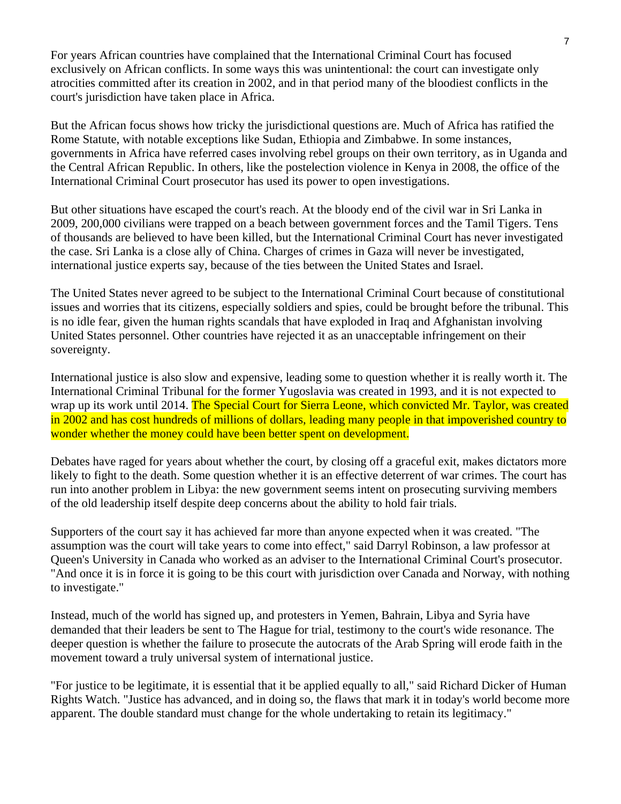For years African countries have complained that the International Criminal Court has focused exclusively on African conflicts. In some ways this was unintentional: the court can investigate only atrocities committed after its creation in 2002, and in that period many of the bloodiest conflicts in the court's jurisdiction have taken place in Africa.

But the African focus shows how tricky the jurisdictional questions are. Much of Africa has ratified the Rome Statute, with notable exceptions like Sudan, Ethiopia and Zimbabwe. In some instances, governments in Africa have referred cases involving rebel groups on their own territory, as in Uganda and the Central African Republic. In others, like the postelection violence in Kenya in 2008, the office of the International Criminal Court prosecutor has used its power to open investigations.

But other situations have escaped the court's reach. At the bloody end of the civil war in Sri Lanka in 2009, 200,000 civilians were trapped on a beach between government forces and the Tamil Tigers. Tens of thousands are believed to have been killed, but the International Criminal Court has never investigated the case. Sri Lanka is a close ally of China. Charges of crimes in Gaza will never be investigated, international justice experts say, because of the ties between the United States and Israel.

The United States never agreed to be subject to the International Criminal Court because of constitutional issues and worries that its citizens, especially soldiers and spies, could be brought before the tribunal. This is no idle fear, given the human rights scandals that have exploded in Iraq and Afghanistan involving United States personnel. Other countries have rejected it as an unacceptable infringement on their sovereignty.

International justice is also slow and expensive, leading some to question whether it is really worth it. The International Criminal Tribunal for the former Yugoslavia was created in 1993, and it is not expected to wrap up its work until 2014. The Special Court for Sierra Leone, which convicted Mr. Taylor, was created in 2002 and has cost hundreds of millions of dollars, leading many people in that impoverished country to wonder whether the money could have been better spent on development.

Debates have raged for years about whether the court, by closing off a graceful exit, makes dictators more likely to fight to the death. Some question whether it is an effective deterrent of war crimes. The court has run into another problem in Libya: the new government seems intent on prosecuting surviving members of the old leadership itself despite deep concerns about the ability to hold fair trials.

Supporters of the court say it has achieved far more than anyone expected when it was created. "The assumption was the court will take years to come into effect," said Darryl Robinson, a law professor at Queen's University in Canada who worked as an adviser to the International Criminal Court's prosecutor. "And once it is in force it is going to be this court with jurisdiction over Canada and Norway, with nothing to investigate."

Instead, much of the world has signed up, and protesters in Yemen, Bahrain, Libya and Syria have demanded that their leaders be sent to The Hague for trial, testimony to the court's wide resonance. The deeper question is whether the failure to prosecute the autocrats of the Arab Spring will erode faith in the movement toward a truly universal system of international justice.

"For justice to be legitimate, it is essential that it be applied equally to all," said Richard Dicker of Human Rights Watch. "Justice has advanced, and in doing so, the flaws that mark it in today's world become more apparent. The double standard must change for the whole undertaking to retain its legitimacy."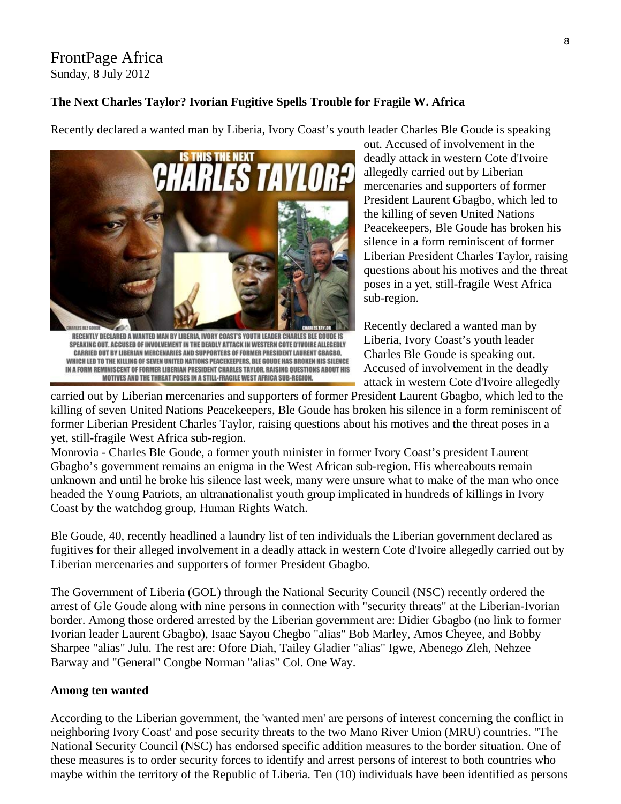#### FrontPage Africa Sunday, 8 July 2012

#### **The Next Charles Taylor? Ivorian Fugitive Spells Trouble for Fragile W. Africa**

Recently declared a wanted man by Liberia, Ivory Coast's youth leader Charles Ble Goude is speaking



SPEAKING OUT. ACCUSED OF INVOLVEMENT IN THE DEADLY ATTACK IN WESTERN COTE D'IVOIRE ALLEGEDLY CARRIED OUT BY LIBERIAN MERCENARIES AND SUPPORTERS OF FORMER PRESIDENT LAURENT GBAGBO, WHICH LED TO THE KILLING OF SEVEN UNITED NATIONS PEACEKEEPERS, BLE GOUDE HAS BROKEN HIS SILENCE IN A FORM REMINISCENT OF FORMER LIBERIAN PRESIDENT CHARLES TAYLOR, RAISING QUESTIONS ABOUT HIS MOTIVES AND THE THREAT POSES IN A STILL-FRAGILE WEST AFRICA SUB-REGION.

out. Accused of involvement in the deadly attack in western Cote d'Ivoire allegedly carried out by Liberian mercenaries and supporters of former President Laurent Gbagbo, which led to the killing of seven United Nations Peacekeepers, Ble Goude has broken his silence in a form reminiscent of former Liberian President Charles Taylor, raising questions about his motives and the threat poses in a yet, still-fragile West Africa sub-region.

Recently declared a wanted man by Liberia, Ivory Coast's youth leader Charles Ble Goude is speaking out. Accused of involvement in the deadly attack in western Cote d'Ivoire allegedly

carried out by Liberian mercenaries and supporters of former President Laurent Gbagbo, which led to the killing of seven United Nations Peacekeepers, Ble Goude has broken his silence in a form reminiscent of former Liberian President Charles Taylor, raising questions about his motives and the threat poses in a yet, still-fragile West Africa sub-region.

Monrovia - Charles Ble Goude, a former youth minister in former Ivory Coast's president Laurent Gbagbo's government remains an enigma in the West African sub-region. His whereabouts remain unknown and until he broke his silence last week, many were unsure what to make of the man who once headed the Young Patriots, an ultranationalist youth group implicated in hundreds of killings in Ivory Coast by the watchdog group, Human Rights Watch.

Ble Goude, 40, recently headlined a laundry list of ten individuals the Liberian government declared as fugitives for their alleged involvement in a deadly attack in western Cote d'Ivoire allegedly carried out by Liberian mercenaries and supporters of former President Gbagbo.

The Government of Liberia (GOL) through the National Security Council (NSC) recently ordered the arrest of Gle Goude along with nine persons in connection with "security threats" at the Liberian-Ivorian border. Among those ordered arrested by the Liberian government are: Didier Gbagbo (no link to former Ivorian leader Laurent Gbagbo), Isaac Sayou Chegbo "alias" Bob Marley, Amos Cheyee, and Bobby Sharpee "alias" Julu. The rest are: Ofore Diah, Tailey Gladier "alias" Igwe, Abenego Zleh, Nehzee Barway and "General" Congbe Norman "alias" Col. One Way.

#### **Among ten wanted**

According to the Liberian government, the 'wanted men' are persons of interest concerning the conflict in neighboring Ivory Coast' and pose security threats to the two Mano River Union (MRU) countries. "The National Security Council (NSC) has endorsed specific addition measures to the border situation. One of these measures is to order security forces to identify and arrest persons of interest to both countries who maybe within the territory of the Republic of Liberia. Ten (10) individuals have been identified as persons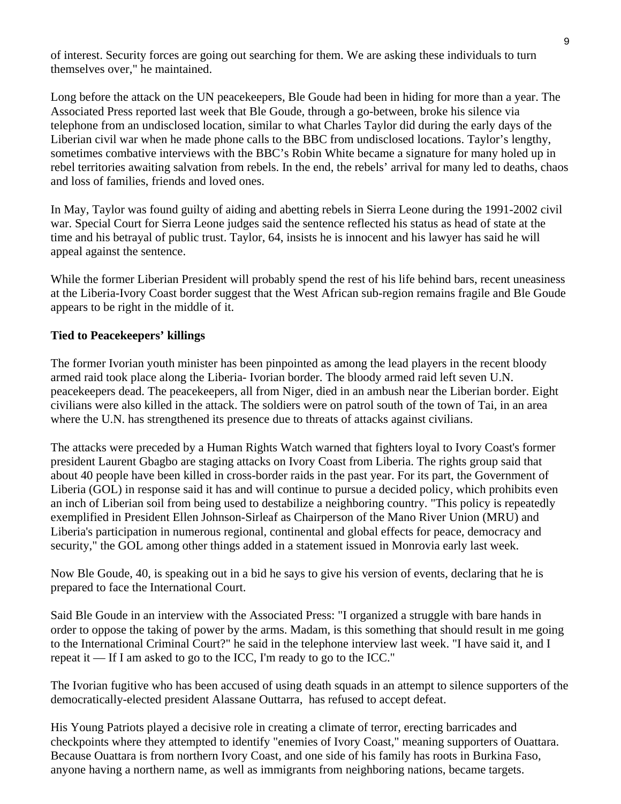of interest. Security forces are going out searching for them. We are asking these individuals to turn themselves over," he maintained.

Long before the attack on the UN peacekeepers, Ble Goude had been in hiding for more than a year. The Associated Press reported last week that Ble Goude, through a go-between, broke his silence via telephone from an undisclosed location, similar to what Charles Taylor did during the early days of the Liberian civil war when he made phone calls to the BBC from undisclosed locations. Taylor's lengthy, sometimes combative interviews with the BBC's Robin White became a signature for many holed up in rebel territories awaiting salvation from rebels. In the end, the rebels' arrival for many led to deaths, chaos and loss of families, friends and loved ones.

In May, Taylor was found guilty of aiding and abetting rebels in Sierra Leone during the 1991-2002 civil war. Special Court for Sierra Leone judges said the sentence reflected his status as head of state at the time and his betrayal of public trust. Taylor, 64, insists he is innocent and his lawyer has said he will appeal against the sentence.

While the former Liberian President will probably spend the rest of his life behind bars, recent uneasiness at the Liberia-Ivory Coast border suggest that the West African sub-region remains fragile and Ble Goude appears to be right in the middle of it.

#### **Tied to Peacekeepers' killings**

The former Ivorian youth minister has been pinpointed as among the lead players in the recent bloody armed raid took place along the Liberia- Ivorian border. The bloody armed raid left seven U.N. peacekeepers dead. The peacekeepers, all from Niger, died in an ambush near the Liberian border. Eight civilians were also killed in the attack. The soldiers were on patrol south of the town of Tai, in an area where the U.N. has strengthened its presence due to threats of attacks against civilians.

The attacks were preceded by a Human Rights Watch warned that fighters loyal to Ivory Coast's former president Laurent Gbagbo are staging attacks on Ivory Coast from Liberia. The rights group said that about 40 people have been killed in cross-border raids in the past year. For its part, the Government of Liberia (GOL) in response said it has and will continue to pursue a decided policy, which prohibits even an inch of Liberian soil from being used to destabilize a neighboring country. "This policy is repeatedly exemplified in President Ellen Johnson-Sirleaf as Chairperson of the Mano River Union (MRU) and Liberia's participation in numerous regional, continental and global effects for peace, democracy and security," the GOL among other things added in a statement issued in Monrovia early last week.

Now Ble Goude, 40, is speaking out in a bid he says to give his version of events, declaring that he is prepared to face the International Court.

Said Ble Goude in an interview with the Associated Press: "I organized a struggle with bare hands in order to oppose the taking of power by the arms. Madam, is this something that should result in me going to the International Criminal Court?" he said in the telephone interview last week. "I have said it, and I repeat it — If I am asked to go to the ICC, I'm ready to go to the ICC."

The Ivorian fugitive who has been accused of using death squads in an attempt to silence supporters of the democratically-elected president Alassane Outtarra, has refused to accept defeat.

His Young Patriots played a decisive role in creating a climate of terror, erecting barricades and checkpoints where they attempted to identify "enemies of Ivory Coast," meaning supporters of Ouattara. Because Ouattara is from northern Ivory Coast, and one side of his family has roots in Burkina Faso, anyone having a northern name, as well as immigrants from neighboring nations, became targets.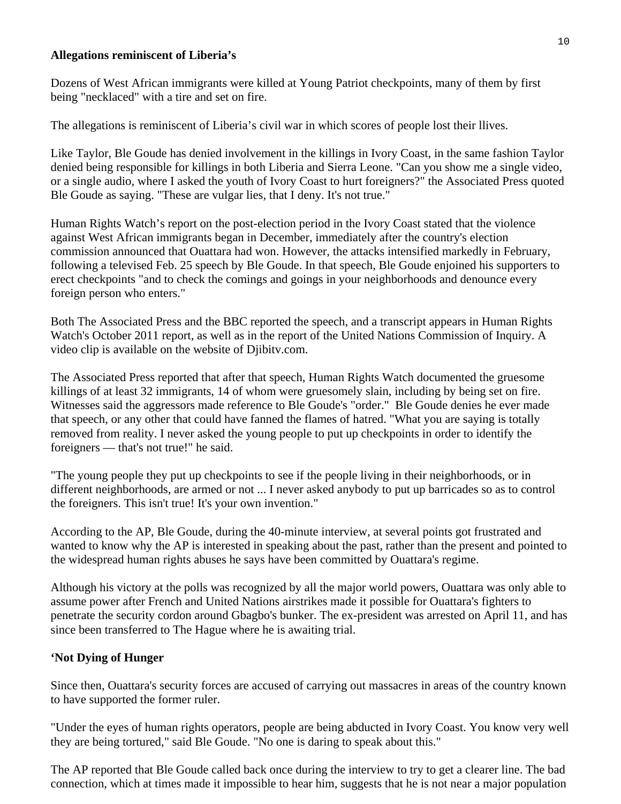#### **Allegations reminiscent of Liberia's**

Dozens of West African immigrants were killed at Young Patriot checkpoints, many of them by first being "necklaced" with a tire and set on fire.

The allegations is reminiscent of Liberia's civil war in which scores of people lost their llives.

Like Taylor, Ble Goude has denied involvement in the killings in Ivory Coast, in the same fashion Taylor denied being responsible for killings in both Liberia and Sierra Leone. "Can you show me a single video, or a single audio, where I asked the youth of Ivory Coast to hurt foreigners?" the Associated Press quoted Ble Goude as saying. "These are vulgar lies, that I deny. It's not true."

Human Rights Watch's report on the post-election period in the Ivory Coast stated that the violence against West African immigrants began in December, immediately after the country's election commission announced that Ouattara had won. However, the attacks intensified markedly in February, following a televised Feb. 25 speech by Ble Goude. In that speech, Ble Goude enjoined his supporters to erect checkpoints "and to check the comings and goings in your neighborhoods and denounce every foreign person who enters."

Both The Associated Press and the BBC reported the speech, and a transcript appears in Human Rights Watch's October 2011 report, as well as in the report of the United Nations Commission of Inquiry. A video clip is available on the website of Djibitv.com.

The Associated Press reported that after that speech, Human Rights Watch documented the gruesome killings of at least 32 immigrants, 14 of whom were gruesomely slain, including by being set on fire. Witnesses said the aggressors made reference to Ble Goude's "order." Ble Goude denies he ever made that speech, or any other that could have fanned the flames of hatred. "What you are saying is totally removed from reality. I never asked the young people to put up checkpoints in order to identify the foreigners — that's not true!" he said.

"The young people they put up checkpoints to see if the people living in their neighborhoods, or in different neighborhoods, are armed or not ... I never asked anybody to put up barricades so as to control the foreigners. This isn't true! It's your own invention."

According to the AP, Ble Goude, during the 40-minute interview, at several points got frustrated and wanted to know why the AP is interested in speaking about the past, rather than the present and pointed to the widespread human rights abuses he says have been committed by Ouattara's regime.

Although his victory at the polls was recognized by all the major world powers, Ouattara was only able to assume power after French and United Nations airstrikes made it possible for Ouattara's fighters to penetrate the security cordon around Gbagbo's bunker. The ex-president was arrested on April 11, and has since been transferred to The Hague where he is awaiting trial.

#### **'Not Dying of Hunger**

Since then, Ouattara's security forces are accused of carrying out massacres in areas of the country known to have supported the former ruler.

"Under the eyes of human rights operators, people are being abducted in Ivory Coast. You know very well they are being tortured," said Ble Goude. "No one is daring to speak about this."

The AP reported that Ble Goude called back once during the interview to try to get a clearer line. The bad connection, which at times made it impossible to hear him, suggests that he is not near a major population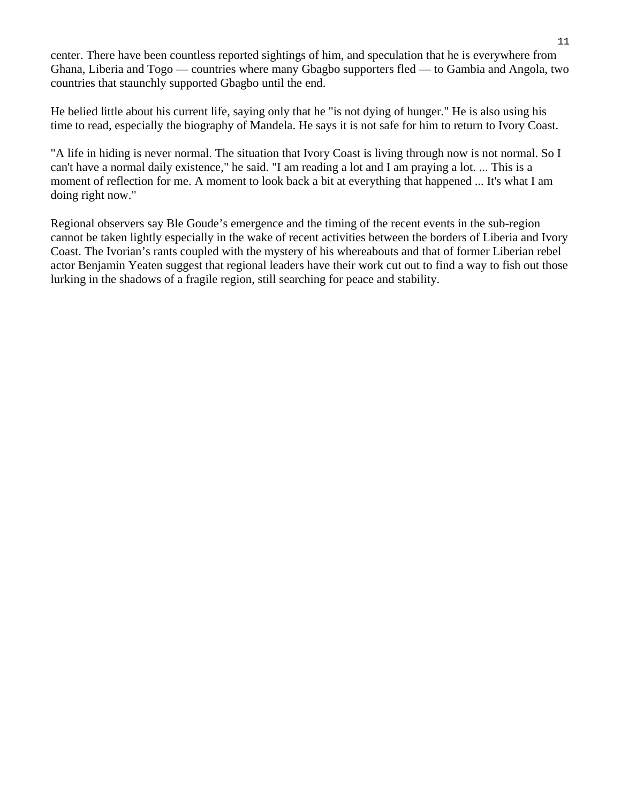center. There have been countless reported sightings of him, and speculation that he is everywhere from Ghana, Liberia and Togo — countries where many Gbagbo supporters fled — to Gambia and Angola, two countries that staunchly supported Gbagbo until the end.

He belied little about his current life, saying only that he "is not dying of hunger." He is also using his time to read, especially the biography of Mandela. He says it is not safe for him to return to Ivory Coast.

"A life in hiding is never normal. The situation that Ivory Coast is living through now is not normal. So I can't have a normal daily existence," he said. "I am reading a lot and I am praying a lot. ... This is a moment of reflection for me. A moment to look back a bit at everything that happened ... It's what I am doing right now."

Regional observers say Ble Goude's emergence and the timing of the recent events in the sub-region cannot be taken lightly especially in the wake of recent activities between the borders of Liberia and Ivory Coast. The Ivorian's rants coupled with the mystery of his whereabouts and that of former Liberian rebel actor Benjamin Yeaten suggest that regional leaders have their work cut out to find a way to fish out those lurking in the shadows of a fragile region, still searching for peace and stability.